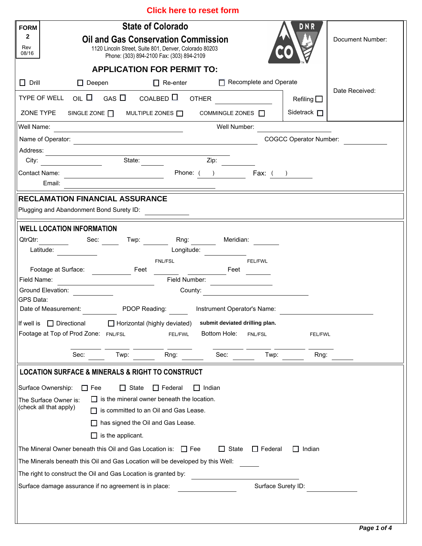| <b>Click here to reset form</b> |  |
|---------------------------------|--|
|---------------------------------|--|

| <b>FORM</b><br>$\mathbf{2}$<br>Rev<br>08/16                                        | <b>State of Colorado</b><br><b>Oil and Gas Conservation Commission</b><br>1120 Lincoln Street, Suite 801, Denver, Colorado 80203<br>Phone: (303) 894-2100 Fax: (303) 894-2109 |                 |                                           |                               | DNR                | Document Number:              |
|------------------------------------------------------------------------------------|-------------------------------------------------------------------------------------------------------------------------------------------------------------------------------|-----------------|-------------------------------------------|-------------------------------|--------------------|-------------------------------|
|                                                                                    | <b>APPLICATION FOR PERMIT TO:</b>                                                                                                                                             |                 |                                           |                               |                    |                               |
|                                                                                    |                                                                                                                                                                               |                 |                                           | $\Box$ Recomplete and Operate |                    |                               |
| $\Box$ Drill<br>$\Box$ Deepen                                                      |                                                                                                                                                                               | $\Box$ Re-enter |                                           |                               |                    | Date Received:                |
| TYPE OF WELL OIL $\Box$ GAS $\Box$ COALBED $\Box$ OTHER                            |                                                                                                                                                                               |                 |                                           |                               | Refiling $\square$ |                               |
| ZONE TYPE SINGLE ZONE $\Box$ MULTIPLE ZONES $\Box$                                 |                                                                                                                                                                               |                 | COMMINGLE ZONES $\Box$                    |                               | Sidetrack $\Box$   |                               |
| Well Name:                                                                         | <u> 1989 - Johann Barbara, martin amerikan personal (</u>                                                                                                                     |                 | Well Number:                              |                               |                    |                               |
|                                                                                    |                                                                                                                                                                               |                 |                                           |                               |                    | <b>COGCC Operator Number:</b> |
| Address:                                                                           |                                                                                                                                                                               |                 |                                           |                               |                    |                               |
| City:                                                                              | <u>and a state:</u>                                                                                                                                                           |                 | Zip: $\frac{1}{1}$                        |                               |                    |                               |
| Email:                                                                             |                                                                                                                                                                               |                 | Phone: ( ) Fax: ( )                       |                               |                    |                               |
|                                                                                    |                                                                                                                                                                               |                 |                                           |                               |                    |                               |
| <b>RECLAMATION FINANCIAL ASSURANCE</b><br>Plugging and Abandonment Bond Surety ID: |                                                                                                                                                                               |                 |                                           |                               |                    |                               |
|                                                                                    |                                                                                                                                                                               |                 |                                           |                               |                    |                               |
| <b>WELL LOCATION INFORMATION</b>                                                   |                                                                                                                                                                               |                 |                                           |                               |                    |                               |
| QtrQtr:                                                                            | Sec: Twp: Rng: Meridian:                                                                                                                                                      |                 |                                           |                               |                    |                               |
| Latitude:                                                                          |                                                                                                                                                                               |                 | Longitude:                                |                               |                    |                               |
| Footage at Surface:                                                                | Feet                                                                                                                                                                          | <b>FNL/FSL</b>  | Feet                                      | <b>FEL/FWL</b>                |                    |                               |
| Field Name:                                                                        |                                                                                                                                                                               | Field Number:   |                                           |                               |                    |                               |
| Ground Elevation:                                                                  |                                                                                                                                                                               | County:         | the control of the control of the         |                               |                    |                               |
| GPS Data:                                                                          |                                                                                                                                                                               |                 |                                           |                               |                    |                               |
| Date of Measurement:                                                               |                                                                                                                                                                               |                 | PDOP Reading: Instrument Operator's Name: |                               |                    |                               |
| If well is $\Box$ Directional                                                      | □ Horizontal (highly deviated) submit deviated drilling plan.                                                                                                                 |                 |                                           |                               |                    |                               |
| Footage at Top of Prod Zone: FNL/FSL                                               |                                                                                                                                                                               | FEL/FWL         | Bottom Hole:                              | FNL/FSL                       | <b>FEL/FWL</b>     |                               |
| Sec:                                                                               | Twp:                                                                                                                                                                          | Rng:            | Sec:                                      | Twp:                          | Rng:               |                               |
| <b>LOCATION SURFACE &amp; MINERALS &amp; RIGHT TO CONSTRUCT</b>                    |                                                                                                                                                                               |                 |                                           |                               |                    |                               |
|                                                                                    |                                                                                                                                                                               |                 |                                           |                               |                    |                               |
| Surface Ownership:<br>$\Box$ Fee                                                   | State<br>$\mathsf{L}$                                                                                                                                                         | $\Box$ Federal  | Indian                                    |                               |                    |                               |
| The Surface Owner is:<br>(check all that apply)                                    | $\Box$ is the mineral owner beneath the location.<br>is committed to an Oil and Gas Lease.                                                                                    |                 |                                           |                               |                    |                               |
|                                                                                    |                                                                                                                                                                               |                 |                                           |                               |                    |                               |
|                                                                                    | has signed the Oil and Gas Lease.                                                                                                                                             |                 |                                           |                               |                    |                               |
|                                                                                    | $\Box$ is the applicant.                                                                                                                                                      |                 |                                           |                               |                    |                               |
| The Mineral Owner beneath this Oil and Gas Location is: $\Box$ Fee                 |                                                                                                                                                                               |                 | $\Box$ State                              | $\Box$ Federal                | $\Box$ Indian      |                               |
| The Minerals beneath this Oil and Gas Location will be developed by this Well:     |                                                                                                                                                                               |                 |                                           |                               |                    |                               |
| The right to construct the Oil and Gas Location is granted by:                     |                                                                                                                                                                               |                 |                                           |                               |                    |                               |
| Surface damage assurance if no agreement is in place:                              |                                                                                                                                                                               |                 |                                           | Surface Surety ID:            |                    |                               |
|                                                                                    |                                                                                                                                                                               |                 |                                           |                               |                    |                               |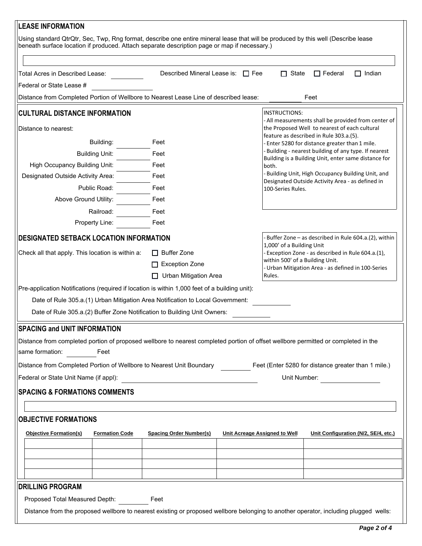| <b>LEASE INFORMATION</b>                                                                                                                                                                                                          |                                                               |                                                                                                 |                                                                                                                             |                |                                                        |  |  |
|-----------------------------------------------------------------------------------------------------------------------------------------------------------------------------------------------------------------------------------|---------------------------------------------------------------|-------------------------------------------------------------------------------------------------|-----------------------------------------------------------------------------------------------------------------------------|----------------|--------------------------------------------------------|--|--|
| Using standard QtrQtr, Sec, Twp, Rng format, describe one entire mineral lease that will be produced by this well (Describe lease<br>beneath surface location if produced. Attach separate description page or map if necessary.) |                                                               |                                                                                                 |                                                                                                                             |                |                                                        |  |  |
|                                                                                                                                                                                                                                   |                                                               |                                                                                                 |                                                                                                                             |                |                                                        |  |  |
| Total Acres in Described Lease:                                                                                                                                                                                                   | Described Mineral Lease is: $\Box$ Fee                        |                                                                                                 | $\Box$ State                                                                                                                | $\Box$ Federal | Indian                                                 |  |  |
| Federal or State Lease #                                                                                                                                                                                                          |                                                               |                                                                                                 |                                                                                                                             |                |                                                        |  |  |
| Distance from Completed Portion of Wellbore to Nearest Lease Line of described lease:<br>Feet<br><b>CULTURAL DISTANCE INFORMATION</b><br>INSTRUCTIONS:                                                                            |                                                               |                                                                                                 |                                                                                                                             |                |                                                        |  |  |
| Distance to nearest:                                                                                                                                                                                                              |                                                               |                                                                                                 | - All measurements shall be provided from center of<br>the Proposed Well to nearest of each cultural                        |                |                                                        |  |  |
| Building:                                                                                                                                                                                                                         | Feet                                                          |                                                                                                 | feature as described in Rule 303.a.(5).<br>- Enter 5280 for distance greater than 1 mile.                                   |                |                                                        |  |  |
| <b>Building Unit:</b>                                                                                                                                                                                                             | - Building - nearest building of any type. If nearest<br>Feet |                                                                                                 |                                                                                                                             |                |                                                        |  |  |
| <b>High Occupancy Building Unit:</b>                                                                                                                                                                                              | Feet                                                          |                                                                                                 | Building is a Building Unit, enter same distance for<br>both.                                                               |                |                                                        |  |  |
| Designated Outside Activity Area:                                                                                                                                                                                                 | Feet                                                          |                                                                                                 | - Building Unit, High Occupancy Building Unit, and<br>Designated Outside Activity Area - as defined in<br>100-Series Rules. |                |                                                        |  |  |
| Public Road:                                                                                                                                                                                                                      | Feet                                                          |                                                                                                 |                                                                                                                             |                |                                                        |  |  |
| Above Ground Utility:                                                                                                                                                                                                             | Feet                                                          |                                                                                                 |                                                                                                                             |                |                                                        |  |  |
| Railroad:                                                                                                                                                                                                                         | Feet                                                          |                                                                                                 |                                                                                                                             |                |                                                        |  |  |
| Property Line:                                                                                                                                                                                                                    | Feet                                                          |                                                                                                 |                                                                                                                             |                |                                                        |  |  |
| <b>DESIGNATED SETBACK LOCATION INFORMATION</b>                                                                                                                                                                                    |                                                               |                                                                                                 |                                                                                                                             |                | - Buffer Zone – as described in Rule 604.a.(2), within |  |  |
| Check all that apply. This location is within a:                                                                                                                                                                                  | $\Box$ Buffer Zone                                            |                                                                                                 | 1,000' of a Building Unit<br>- Exception Zone - as described in Rule 604.a.(1),                                             |                |                                                        |  |  |
|                                                                                                                                                                                                                                   | $\Box$ Exception Zone                                         | within 500' of a Building Unit.<br>- Urban Mitigation Area - as defined in 100-Series<br>Rules. |                                                                                                                             |                |                                                        |  |  |
|                                                                                                                                                                                                                                   | <b>Urban Mitigation Area</b>                                  |                                                                                                 |                                                                                                                             |                |                                                        |  |  |
| Pre-application Notifications (required if location is within 1,000 feet of a building unit):                                                                                                                                     |                                                               |                                                                                                 |                                                                                                                             |                |                                                        |  |  |
| Date of Rule 305.a.(1) Urban Mitigation Area Notification to Local Government:                                                                                                                                                    |                                                               |                                                                                                 |                                                                                                                             |                |                                                        |  |  |
| Date of Rule 305.a.(2) Buffer Zone Notification to Building Unit Owners:                                                                                                                                                          |                                                               |                                                                                                 |                                                                                                                             |                |                                                        |  |  |
| <b>SPACING and UNIT INFORMATION</b>                                                                                                                                                                                               |                                                               |                                                                                                 |                                                                                                                             |                |                                                        |  |  |
| Distance from completed portion of proposed wellbore to nearest completed portion of offset wellbore permitted or completed in the                                                                                                |                                                               |                                                                                                 |                                                                                                                             |                |                                                        |  |  |
| same formation:<br>Feet                                                                                                                                                                                                           |                                                               |                                                                                                 |                                                                                                                             |                |                                                        |  |  |
| Distance from Completed Portion of Wellbore to Nearest Unit Boundary Feet (Enter 5280 for distance greater than 1 mile.)                                                                                                          |                                                               |                                                                                                 |                                                                                                                             |                |                                                        |  |  |
| Federal or State Unit Name (if appl):<br>Unit Number:                                                                                                                                                                             |                                                               |                                                                                                 |                                                                                                                             |                |                                                        |  |  |
| <b>SPACING &amp; FORMATIONS COMMENTS</b>                                                                                                                                                                                          |                                                               |                                                                                                 |                                                                                                                             |                |                                                        |  |  |
|                                                                                                                                                                                                                                   |                                                               |                                                                                                 |                                                                                                                             |                |                                                        |  |  |
| <b>OBJECTIVE FORMATIONS</b>                                                                                                                                                                                                       |                                                               |                                                                                                 |                                                                                                                             |                |                                                        |  |  |
|                                                                                                                                                                                                                                   |                                                               |                                                                                                 |                                                                                                                             |                |                                                        |  |  |
| <b>Objective Formation(s)</b><br><b>Formation Code</b>                                                                                                                                                                            | <b>Spacing Order Number(s)</b>                                | Unit Acreage Assigned to Well                                                                   |                                                                                                                             |                | Unit Configuration (N/2, SE/4, etc.)                   |  |  |
|                                                                                                                                                                                                                                   |                                                               |                                                                                                 |                                                                                                                             |                |                                                        |  |  |
|                                                                                                                                                                                                                                   |                                                               |                                                                                                 |                                                                                                                             |                |                                                        |  |  |
|                                                                                                                                                                                                                                   |                                                               |                                                                                                 |                                                                                                                             |                |                                                        |  |  |
|                                                                                                                                                                                                                                   |                                                               |                                                                                                 |                                                                                                                             |                |                                                        |  |  |
| <b>DRILLING PROGRAM</b><br>Proposed Total Measured Depth:                                                                                                                                                                         | Feet                                                          |                                                                                                 |                                                                                                                             |                |                                                        |  |  |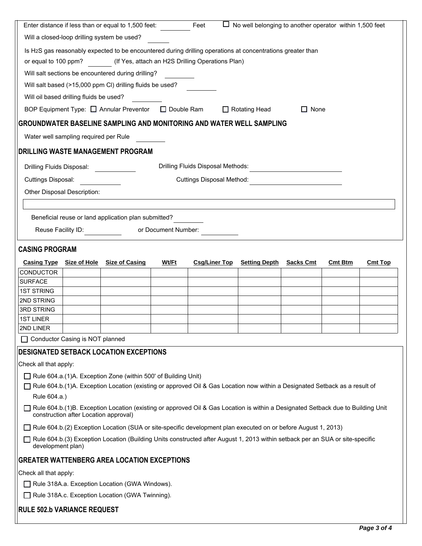|                                                                                                            |                                                                                                   | Enter distance if less than or equal to 1,500 feet:                                                                              |                     | Feet                              | $\Box$ No well belonging to another operator within 1,500 feet |                                         |                |                |
|------------------------------------------------------------------------------------------------------------|---------------------------------------------------------------------------------------------------|----------------------------------------------------------------------------------------------------------------------------------|---------------------|-----------------------------------|----------------------------------------------------------------|-----------------------------------------|----------------|----------------|
|                                                                                                            |                                                                                                   | Will a closed-loop drilling system be used?                                                                                      |                     |                                   |                                                                |                                         |                |                |
| Is H2S gas reasonably expected to be encountered during drilling operations at concentrations greater than |                                                                                                   |                                                                                                                                  |                     |                                   |                                                                |                                         |                |                |
| (If Yes, attach an H2S Drilling Operations Plan)<br>or equal to 100 ppm?                                   |                                                                                                   |                                                                                                                                  |                     |                                   |                                                                |                                         |                |                |
|                                                                                                            |                                                                                                   | Will salt sections be encountered during drilling?                                                                               |                     |                                   |                                                                |                                         |                |                |
|                                                                                                            |                                                                                                   | Will salt based (>15,000 ppm CI) drilling fluids be used?                                                                        |                     |                                   |                                                                |                                         |                |                |
|                                                                                                            | Will oil based drilling fluids be used?                                                           |                                                                                                                                  |                     |                                   |                                                                |                                         |                |                |
|                                                                                                            |                                                                                                   | BOP Equipment Type: □ Annular Preventor □ Double Ram                                                                             |                     |                                   | $\Box$ Rotating Head                                           | $\Box$ None                             |                |                |
|                                                                                                            |                                                                                                   | <b>GROUNDWATER BASELINE SAMPLING AND MONITORING AND WATER WELL SAMPLING</b>                                                      |                     |                                   |                                                                |                                         |                |                |
|                                                                                                            | Water well sampling required per Rule                                                             |                                                                                                                                  |                     |                                   |                                                                |                                         |                |                |
|                                                                                                            |                                                                                                   | <b>DRILLING WASTE MANAGEMENT PROGRAM</b>                                                                                         |                     |                                   |                                                                |                                         |                |                |
|                                                                                                            | Drilling Fluids Disposal:                                                                         |                                                                                                                                  |                     | Drilling Fluids Disposal Methods: |                                                                | <u> 1980 - Johann Barbara, martxa a</u> |                |                |
| Cuttings Disposal:                                                                                         |                                                                                                   |                                                                                                                                  |                     | Cuttings Disposal Method:         |                                                                |                                         |                |                |
|                                                                                                            | Other Disposal Description:                                                                       |                                                                                                                                  |                     |                                   |                                                                |                                         |                |                |
|                                                                                                            |                                                                                                   |                                                                                                                                  |                     |                                   |                                                                |                                         |                |                |
|                                                                                                            |                                                                                                   | Beneficial reuse or land application plan submitted?                                                                             |                     |                                   |                                                                |                                         |                |                |
|                                                                                                            | Reuse Facility ID:                                                                                |                                                                                                                                  | or Document Number: |                                   |                                                                |                                         |                |                |
| <b>CASING PROGRAM</b>                                                                                      |                                                                                                   |                                                                                                                                  |                     |                                   |                                                                |                                         |                |                |
|                                                                                                            |                                                                                                   | Casing Type Size of Hole Size of Casing                                                                                          | Wt/Ft               | <b>Csg/Liner Top</b>              | <b>Setting Depth Sacks Cmt</b>                                 |                                         | <b>Cmt Btm</b> | <b>Cmt Top</b> |
| <b>CONDUCTOR</b>                                                                                           |                                                                                                   |                                                                                                                                  |                     |                                   |                                                                |                                         |                |                |
| <b>SURFACE</b>                                                                                             |                                                                                                   |                                                                                                                                  |                     |                                   |                                                                |                                         |                |                |
| <b>1ST STRING</b>                                                                                          |                                                                                                   |                                                                                                                                  |                     |                                   |                                                                |                                         |                |                |
| 2ND STRING                                                                                                 |                                                                                                   |                                                                                                                                  |                     |                                   |                                                                |                                         |                |                |
| 3RD STRING                                                                                                 |                                                                                                   |                                                                                                                                  |                     |                                   |                                                                |                                         |                |                |
| <b>1ST LINER</b>                                                                                           |                                                                                                   |                                                                                                                                  |                     |                                   |                                                                |                                         |                |                |
| 2ND LINER                                                                                                  |                                                                                                   |                                                                                                                                  |                     |                                   |                                                                |                                         |                |                |
|                                                                                                            | Conductor Casing is NOT planned                                                                   |                                                                                                                                  |                     |                                   |                                                                |                                         |                |                |
|                                                                                                            |                                                                                                   | <b>DESIGNATED SETBACK LOCATION EXCEPTIONS</b>                                                                                    |                     |                                   |                                                                |                                         |                |                |
| Check all that apply:                                                                                      |                                                                                                   |                                                                                                                                  |                     |                                   |                                                                |                                         |                |                |
| $\Box$ Rule 604.a.(1)A. Exception Zone (within 500' of Building Unit)                                      |                                                                                                   |                                                                                                                                  |                     |                                   |                                                                |                                         |                |                |
|                                                                                                            |                                                                                                   | Rule 604.b.(1)A. Exception Location (existing or approved Oil & Gas Location now within a Designated Setback as a result of      |                     |                                   |                                                                |                                         |                |                |
| Rule 604.a.)                                                                                               |                                                                                                   |                                                                                                                                  |                     |                                   |                                                                |                                         |                |                |
|                                                                                                            | construction after Location approval)                                                             | Rule 604.b.(1)B. Exception Location (existing or approved Oil & Gas Location is within a Designated Setback due to Building Unit |                     |                                   |                                                                |                                         |                |                |
|                                                                                                            |                                                                                                   | Rule 604.b.(2) Exception Location (SUA or site-specific development plan executed on or before August 1, 2013)                   |                     |                                   |                                                                |                                         |                |                |
| development plan)                                                                                          |                                                                                                   | Rule 604.b.(3) Exception Location (Building Units constructed after August 1, 2013 within setback per an SUA or site-specific    |                     |                                   |                                                                |                                         |                |                |
|                                                                                                            |                                                                                                   | <b>GREATER WATTENBERG AREA LOCATION EXCEPTIONS</b>                                                                               |                     |                                   |                                                                |                                         |                |                |
| Check all that apply:                                                                                      |                                                                                                   |                                                                                                                                  |                     |                                   |                                                                |                                         |                |                |
|                                                                                                            |                                                                                                   |                                                                                                                                  |                     |                                   |                                                                |                                         |                |                |
|                                                                                                            | Rule 318A.a. Exception Location (GWA Windows).<br>Rule 318A.c. Exception Location (GWA Twinning). |                                                                                                                                  |                     |                                   |                                                                |                                         |                |                |
| <b>RULE 502.b VARIANCE REQUEST</b>                                                                         |                                                                                                   |                                                                                                                                  |                     |                                   |                                                                |                                         |                |                |
|                                                                                                            |                                                                                                   |                                                                                                                                  |                     |                                   |                                                                |                                         |                |                |